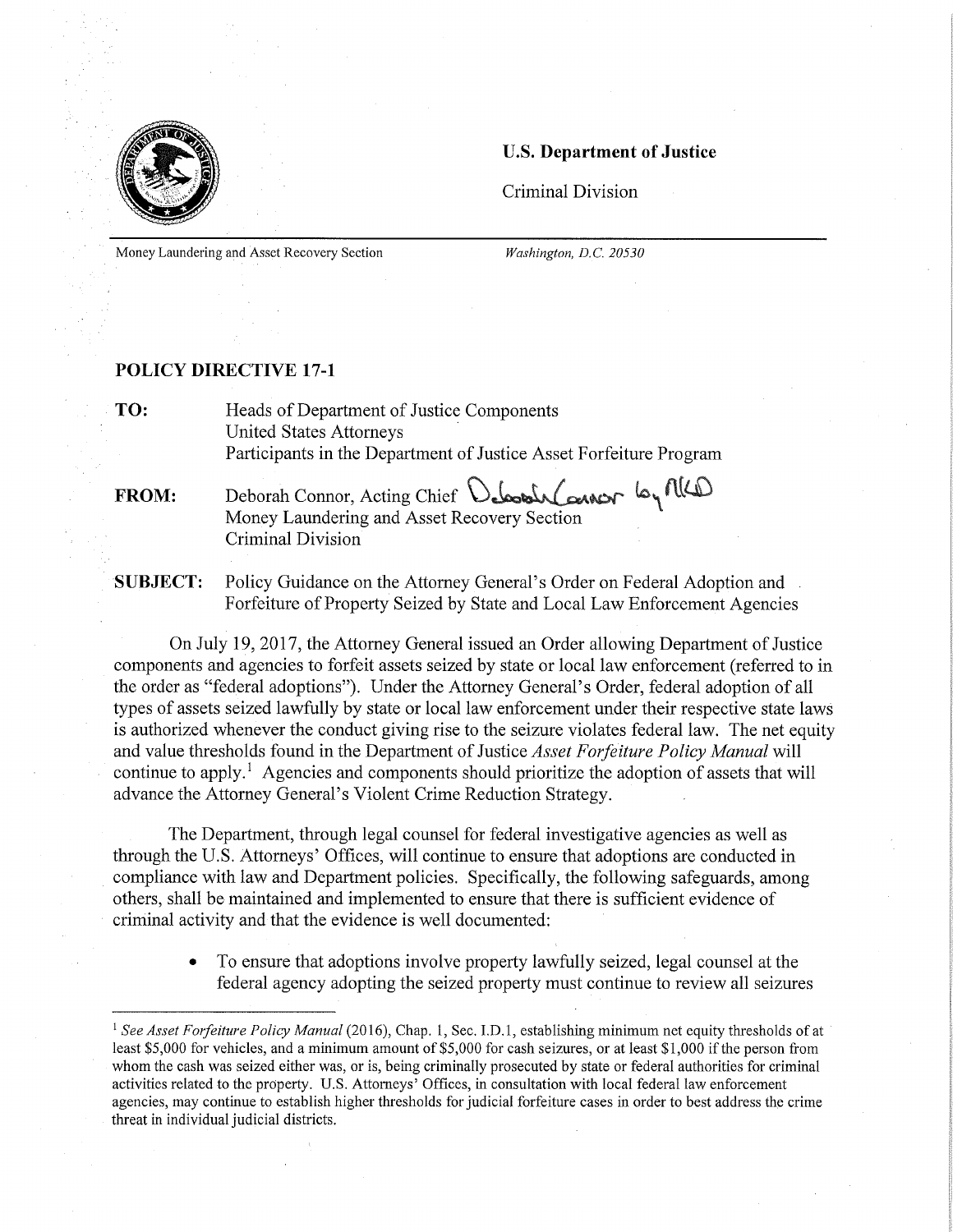

## U.S. Department of Justice

Criminal Division

Money Laundering and Asset Recovery Section *Washington, D.C. 20530* 

## POLICY DIRECTIVE 17-1

TO: Heads of Department of Justice Components United States Attorneys Participants in the Department of Justice Asset Forfeiture Program

## FROM: Deborah Connor, Acting Chief Deborah Connor 6, MCD Money Laundering and Asset Recovery Section Criminal Division

SUBJECT: Policy Guidance on the Attorney General's Order on Federal Adoption and Forfeiture of Property Seized by State and Local Law Enforcement Agencies

On July 19, 2017, the Attorney General issued an Order allowing Department of Justice components and agencies to forfeit assets seized by state or local law enforcement (referred to in the order as "federal adoptions"). Under the Attorney General's Order, federal adoption of all types of assets seized lawfully by state or local law enforcement under their respective state laws is authorized whenever the conduct giving rise to the seizure violates federal law. The net equity and value thresholds found in the Department of Justice *Asset Forfeiture Policy Manual* will continue to apply.' Agencies and components should prioritize the adoption of assets that will advance the Attorney General's Violent Crime Reduction Strategy.

The Department, through legal counsel for federal investigative agencies as well as through the U.S. Attorneys' Offices, will continue to ensure that adoptions are conducted in compliance with law and Department policies. Specifically, the following safeguards, among others, shall be maintained and implemented to ensure that there is sufficient evidence of criminal activity and that the evidence is well documented:

> • To ensure that adoptions involve property lawfully seized, legal counsel at the federal agency adopting the seized property must continue to review all seizures

<sup>&</sup>lt;sup>1</sup> See Asset Forfeiture Policy Manual (2016), Chap. 1, Sec. I.D.1, establishing minimum net equity thresholds of at least \$5,000 for vehicles, and a minimum amount of \$5,000 for cash seizures, or at least \$1,000 if the person from whom the cash was seized either was, or is, being criminally prosecuted by state or federal authorities for criminal activities related to the property. U.S. Attorneys' Offices, in consultation with local federal law enforcement agencies, may continue to establish higher thresholds for judicial forfeiture cases in order to best address the crime threat in individual judicial districts.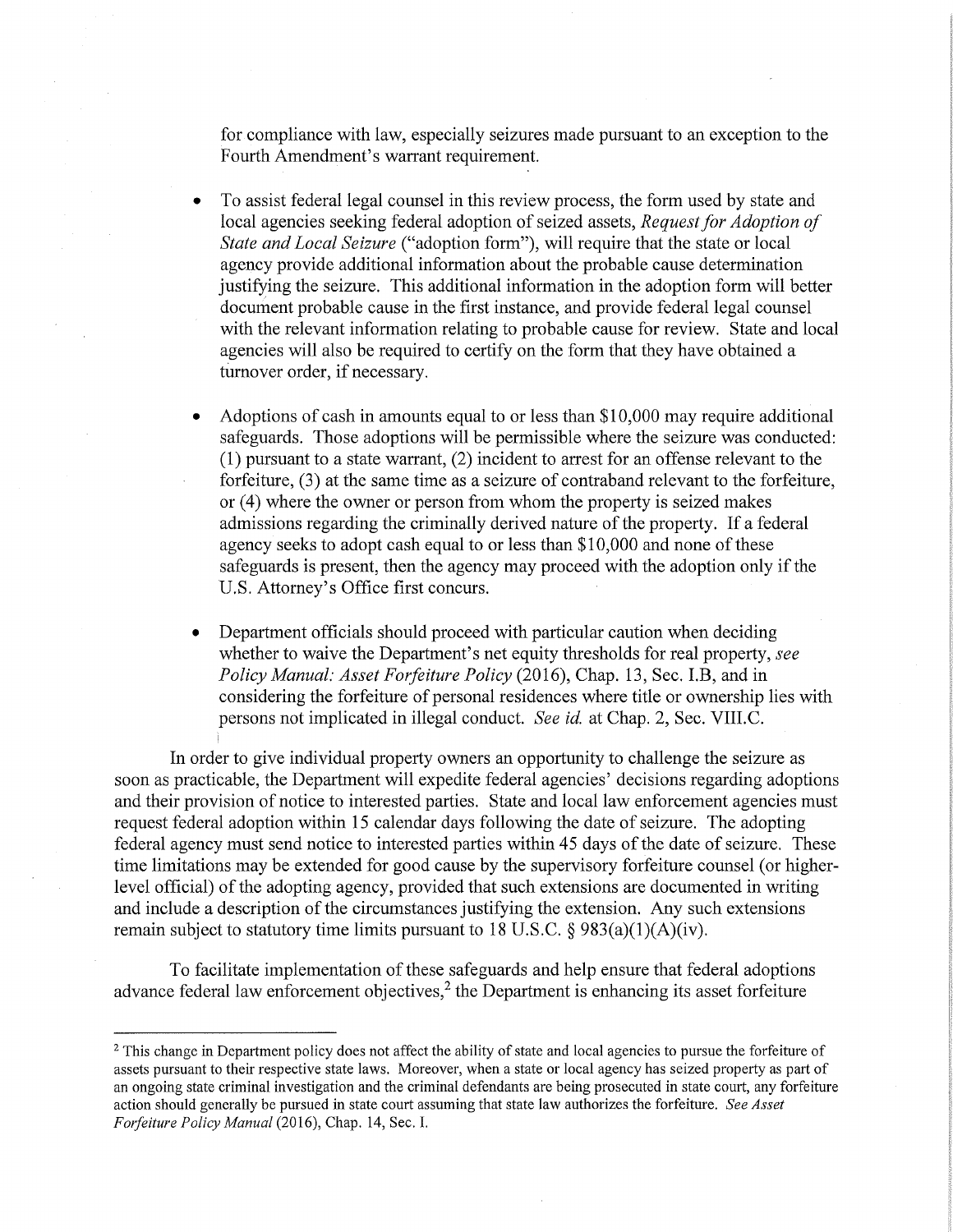for compliance with law, especially seizures made pursuant to an exception to the Fourth Amendment's warrant requirement.

- To assist federal legal counsel in this review process, the form used by state and local agencies seeking federal adoption of seized assets, *Request for Adoption of State and Local Seizure* ("adoption form"), will require that the state or local agency provide additional information about the probable cause determination justifying the seizure. This additional information in the adoption form will better document probable cause in the first instance, and provide federal legal counsel with the relevant information relating to probable cause for review. State and local agencies will also be required to certify on the form that they have obtained a turnover order, if necessary.
- Adoptions of cash in amounts equal to or less than \$10,000 may require additional safeguards. Those adoptions will be permissible where the seizure was conducted: (1) pursuant to a state warrant, (2) incident to arrest for an offense relevant to the forfeiture, (3) at the same time as a seizure of contraband relevant to the forfeiture, or (4) where the owner or person from whom the property is seized makes admissions regarding the criminally derived nature of the property. If a federal agency seeks to adopt cash equal to or less than \$10,000 and none of these safeguards is present, then the agency may proceed with the adoption only if the U.S. Attorney's Office first concurs.
- Department officials should proceed with particular caution when deciding whether to waive the Department's net equity thresholds for real property, *see Policy Manual: Asset Forfeiture Policy* (2016), Chap. 13, Sec. I.B, and in considering the forfeiture of personal residences where title or ownership lies with persons not implicated in illegal conduct. *See id.* at Chap. 2, Sec. VIII.C.

In order to give individual property owners an opportunity to challenge the seizure as soon as practicable, the Department will expedite federal agencies' decisions regarding adoptions and their provision of notice to interested parties. State and local law enforcement agencies must request federal adoption within 15 calendar days following the date of seizure. The adopting federal agency must send notice to interested parties within 45 days of the date of seizure. These time limitations may be extended for good cause by the supervisory forfeiture counsel (or higherlevel official) of the adopting agency, provided that such extensions are documented in writing and include a description of the circumstances justifying the extension. Any such extensions remain subject to statutory time limits pursuant to 18 U.S.C.  $\S$  983(a)(1)(A)(iv).

To facilitate implementation of these safeguards and help ensure that federal adoptions advance federal law enforcement objectives,<sup>2</sup> the Department is enhancing its asset forfeiture

<sup>&</sup>lt;sup>2</sup> This change in Department policy does not affect the ability of state and local agencies to pursue the forfeiture of assets pursuant to their respective state laws. Moreover, when a state or local agency has seized property as part of an ongoing state criminal investigation and the criminal defendants are being prosecuted in state court, any forfeiture action should generally be pursued in state court assuming that state law authorizes the forfeiture. *See Asset Forfeiture Policy Manual* (2016), Chap. 14, Sec. I.